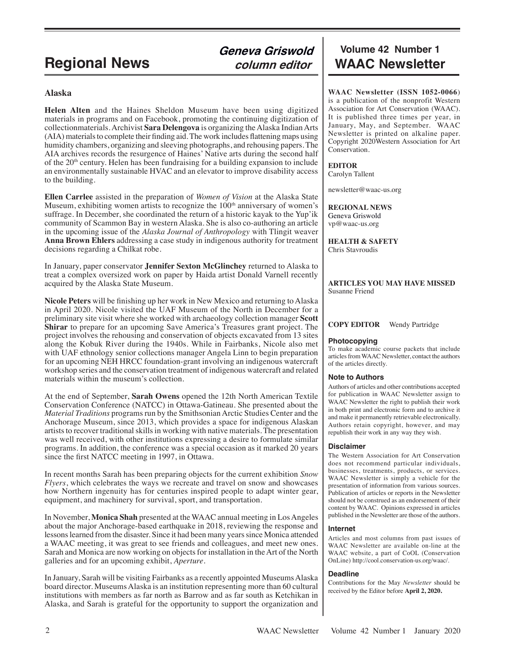#### **Alaska**

**Helen Alten** and the Haines Sheldon Museum have been using digitized materials in programs and on Facebook, promoting the continuing digitization of collectionmaterials. Archivist **Sara Delengova** is organizing the Alaska Indian Arts (AIA) materials to complete their finding aid. The work includes flattening maps using humidity chambers, organizing and sleeving photographs, and rehousing papers. The AIA archives records the resurgence of Haines' Native arts during the second half of the 20<sup>th</sup> century. Helen has been fundraising for a building expansion to include an environmentally sustainable HVAC and an elevator to improve disability access to the building.

**Ellen Carrlee** assisted in the preparation of *Women of Vision* at the Alaska State Museum, exhibiting women artists to recognize the  $100<sup>th</sup>$  anniversary of women's suffrage. In December, she coordinated the return of a historic kayak to the Yup'ik community of Scammon Bay in western Alaska. She is also co-authoring an article in the upcoming issue of the *Alaska Journal of Anthropology* with Tlingit weaver **Anna Brown Ehlers** addressing a case study in indigenous authority for treatment decisions regarding a Chilkat robe.

In January, paper conservator **Jennifer Sexton McGlinchey** returned to Alaska to treat a complex oversized work on paper by Haida artist Donald Varnell recently acquired by the Alaska State Museum.

**Nicole Peters** will be finishing up her work in New Mexico and returning to Alaska in April 2020. Nicole visited the UAF Museum of the North in December for a preliminary site visit where she worked with archaeology collection manager **Scott Shirar** to prepare for an upcoming Save America's Treasures grant project. The project involves the rehousing and conservation of objects excavated from 13 sites along the Kobuk River during the 1940s. While in Fairbanks, Nicole also met with UAF ethnology senior collections manager Angela Linn to begin preparation for an upcoming NEH HRCC foundation-grant involving an indigenous watercraft workshop series and the conservation treatment of indigenous watercraft and related materials within the museum's collection.

At the end of September, **Sarah Owens** opened the 12th North American Textile Conservation Conference (NATCC) in Ottawa-Gatineau. She presented about the *Material Traditions* programs run by the Smithsonian Arctic Studies Center and the Anchorage Museum, since 2013, which provides a space for indigenous Alaskan artists to recover traditional skills in working with native materials. The presentation was well received, with other institutions expressing a desire to formulate similar programs. In addition, the conference was a special occasion as it marked 20 years since the first NATCC meeting in 1997, in Ottawa.

In recent months Sarah has been preparing objects for the current exhibition *Snow Flyers*, which celebrates the ways we recreate and travel on snow and showcases how Northern ingenuity has for centuries inspired people to adapt winter gear, equipment, and machinery for survival, sport, and transportation.

In November, **Monica Shah** presented at the WAAC annual meeting in Los Angeles about the major Anchorage-based earthquake in 2018, reviewing the response and lessons learned from the disaster. Since it had been many years since Monica attended a WAAC meeting, it was great to see friends and colleagues, and meet new ones. Sarah and Monica are now working on objects for installation in the Art of the North galleries and for an upcoming exhibit, *Aperture*.

In January, Sarah will be visiting Fairbanks as a recently appointed Museums Alaska board director. Museums Alaska is an institution representing more than 60 cultural institutions with members as far north as Barrow and as far south as Ketchikan in Alaska, and Sarah is grateful for the opportunity to support the organization and

# **Volume 42 Number 1 Regional News** *Column editor* WAAC Newsletter

**WAAC Newsletter (ISSN 1052-0066**) is a publication of the nonprofit Western Association for Art Conservation (WAAC). It is published three times per year, in January, May, and September. WAAC Newsletter is printed on alkaline paper. Copyright 2020Western Association for Art Conservation.

#### **EDITOR**

Carolyn Tallent

newsletter@waac-us.org

**REGIONAL NEWS** Geneva Griswold vp@waac-us.org

**HEALTH & SAFETY** Chris Stavroudis

#### **ARTICLES YOU MAY HAVE MISSED** Susanne Friend

#### **COPY EDITOR** Wendy Partridge

#### **Photocopying**

To make academic course packets that include articles from WAAC Newsletter, contact the authors of the articles directly.

#### **Note to Authors**

Authors of articles and other contributions accepted for publication in WAAC Newsletter assign to WAAC Newsletter the right to publish their work in both print and electronic form and to archive it and make it permanently retrievable electronically. Authors retain copyright, however, and may republish their work in any way they wish.

#### **Disclaimer**

The Western Association for Art Conservation does not recommend particular individuals, businesses, treatments, products, or services. WAAC Newsletter is simply a vehicle for the presentation of information from various sources. Publication of articles or reports in the Newsletter should not be construed as an endorsement of their content by WAAC. Opinions expressed in articles published in the Newsletter are those of the authors.

#### **Internet**

Articles and most columns from past issues of WAAC Newsletter are available on-line at the WAAC website, a part of CoOL (Conservation OnLine) http://cool.conservation-us.org/waac/.

#### **Deadline**

Contributions for the May *Newsletter* should be received by the Editor before **April 2, 2020.**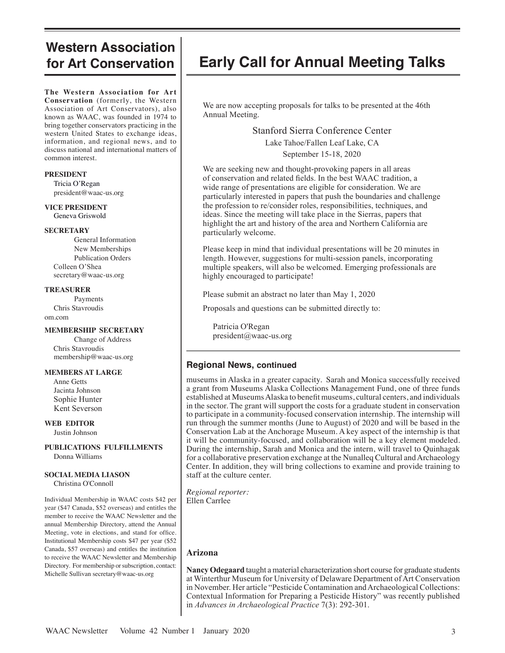# **Western Association for Art Conservation**

**The Western Association for Art Conservation** (formerly, the Western Association of Art Conservators), also known as WAAC, was founded in 1974 to bring together conservators practicing in the western United States to exchange ideas, information, and regional news, and to discuss national and international matters of common interest.

#### **PRESIDENT**

 Tricia O'Regan president@waac-us.org

**VICE PRESIDENT** Geneva Griswold

#### **SECRETARY**

General Information New Memberships Publication Orders Colleen O'Shea secretary@waac-us.org

#### **TREASURER**

Payments Chris Stavroudis om.com

#### **MEMBERSHIP SECRETARY**

Change of Address Chris Stavroudis membership@waac-us.org

#### **MEMBERS AT LARGE**

 Anne Getts Jacinta Johnson Sophie Hunter Kent Severson

#### **WEB EDITOR** Justin Johnson

**PUBLICATIONS FULFILLMENTS** Donna Williams

### **SOCIAL MEDIA LIASON**

Christina O'Connoll

Individual Membership in WAAC costs \$42 per year (\$47 Canada, \$52 overseas) and entitles the member to receive the WAAC Newsletter and the annual Membership Directory, attend the Annual Meeting, vote in elections, and stand for office. Institutional Membership costs \$47 per year (\$52 Canada, \$57 overseas) and entitles the institution to receive the WAAC Newsletter and Membership Directory. For membership or subscription, contact: Michelle Sullivan secretary@waac-us.org

# **Early Call for Annual Meeting Talks**

We are now accepting proposals for talks to be presented at the 46th Annual Meeting.

> Stanford Sierra Conference Center Lake Tahoe/Fallen Leaf Lake, CA September 15-18, 2020

We are seeking new and thought-provoking papers in all areas of conservation and related fields. In the best WAAC tradition, a wide range of presentations are eligible for consideration. We are particularly interested in papers that push the boundaries and challenge the profession to re/consider roles, responsibilities, techniques, and ideas. Since the meeting will take place in the Sierras, papers that highlight the art and history of the area and Northern California are particularly welcome.

Please keep in mind that individual presentations will be 20 minutes in length. However, suggestions for multi-session panels, incorporating multiple speakers, will also be welcomed. Emerging professionals are highly encouraged to participate!

Please submit an abstract no later than May 1, 2020

Proposals and questions can be submitted directly to:

 Patricia O'Regan president@waac-us.org

# **Regional News, continued**

museums in Alaska in a greater capacity. Sarah and Monica successfully received a grant from Museums Alaska Collections Management Fund, one of three funds established at Museums Alaska to benefit museums, cultural centers, and individuals in the sector. The grant will support the costs for a graduate student in conservation to participate in a community-focused conservation internship. The internship will run through the summer months (June to August) of 2020 and will be based in the Conservation Lab at the Anchorage Museum. A key aspect of the internship is that it will be community-focused, and collaboration will be a key element modeled. During the internship, Sarah and Monica and the intern, will travel to Quinhagak for a collaborative preservation exchange at the Nunalleq Cultural and Archaeology Center. In addition, they will bring collections to examine and provide training to staff at the culture center.

*Regional reporter:* Ellen Carrlee

### **Arizona**

**Nancy Odegaard** taught a material characterization short course for graduate students at Winterthur Museum for University of Delaware Department of Art Conservation in November. Her article "Pesticide Contamination and Archaeological Collections: Contextual Information for Preparing a Pesticide History" was recently published in *Advances in Archaeological Practice* 7(3): 292-301.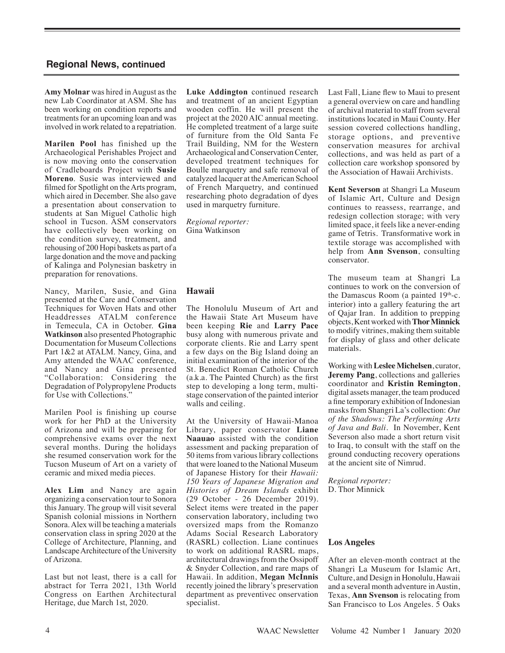**Amy Molnar** was hired in August as the new Lab Coordinator at ASM. She has been working on condition reports and treatments for an upcoming loan and was involved in work related to a repatriation.

**Marilen Pool** has finished up the Archaeological Perishables Project and is now moving onto the conservation of Cradleboards Project with **Susie Moreno**. Susie was interviewed and filmed for Spotlight on the Arts program, which aired in December. She also gave a presentation about conservation to students at San Miguel Catholic high school in Tucson. ASM conservators have collectively been working on the condition survey, treatment, and rehousing of 200 Hopi baskets as part of a large donation and the move and packing of Kalinga and Polynesian basketry in preparation for renovations.

Nancy, Marilen, Susie, and Gina presented at the Care and Conservation Techniques for Woven Hats and other Headdresses ATALM conference in Temecula, CA in October. **Gina Watkinson** also presented Photographic Documentation for Museum Collections Part 1&2 at ATALM. Nancy, Gina, and Amy attended the WAAC conference, and Nancy and Gina presented "Collaboration: Considering the Degradation of Polypropylene Products for Use with Collections."

Marilen Pool is finishing up course work for her PhD at the University of Arizona and will be preparing for comprehensive exams over the next several months. During the holidays she resumed conservation work for the Tucson Museum of Art on a variety of ceramic and mixed media pieces.

**Alex Lim** and Nancy are again organizing a conservation tour to Sonora this January. The group will visit several Spanish colonial missions in Northern Sonora.Alex will be teaching a materials conservation class in spring 2020 at the College of Architecture, Planning, and Landscape Architecture of the University of Arizona.

Last but not least, there is a call for abstract for Terra 2021, 13th World Congress on Earthen Architectural Heritage, due March 1st, 2020.

**Luke Addington** continued research and treatment of an ancient Egyptian wooden coffin. He will present the project at the 2020 AIC annual meeting. He completed treatment of a large suite of furniture from the Old Santa Fe Trail Building, NM for the Western Archaeological and Conservation Center, developed treatment techniques for Boulle marquetry and safe removal of catalyzed lacquer at the American School of French Marquetry, and continued researching photo degradation of dyes used in marquetry furniture.

*Regional reporter:*  Gina Watkinson

#### **Hawaii**

The Honolulu Museum of Art and the Hawaii State Art Museum have been keeping **Rie** and **Larry Pace** busy along with numerous private and corporate clients. Rie and Larry spent a few days on the Big Island doing an initial examination of the interior of the St. Benedict Roman Catholic Church (a.k.a. The Painted Church) as the first step to developing a long term, multistage conservation of the painted interior walls and ceiling.

At the University of Hawaii-Manoa Library, paper conservator **Liane Naauao** assisted with the condition assessment and packing preparation of 50 items from various library collections that were loaned to the National Museum of Japanese History for their *Hawaii: 150 Years of Japanese Migration and Histories of Dream Islands* exhibit (29 October - 26 December 2019). Select items were treated in the paper conservation laboratory, including two oversized maps from the Romanzo Adams Social Research Laboratory (RASRL) collection. Liane continues to work on additional RASRL maps, architectural drawings from the Ossipoff & Snyder Collection, and rare maps of Hawaii. In addition, **Megan McInnis**  recently joined the library's preservation department as preventivec onservation specialist.

Last Fall, Liane flew to Maui to present a general overview on care and handling of archival material to staff from several institutions located in Maui County. Her session covered collections handling, storage options, and preventive conservation measures for archival collections, and was held as part of a collection care workshop sponsored by the Association of Hawaii Archivists.

**Kent Severson** at Shangri La Museum of Islamic Art, Culture and Design continues to reassess, rearrange, and redesign collection storage; with very limited space, it feels like a never-ending game of Tetris. Transformative work in textile storage was accomplished with help from **Ann Svenson**, consulting conservator.

The museum team at Shangri La continues to work on the conversion of the Damascus Room (a painted  $19<sup>th</sup>$ -c. interior) into a gallery featuring the art of Qajar Iran. In addition to prepping objects, Kent worked with **Thor Minnick** to modify vitrines, making them suitable for display of glass and other delicate materials.

Working with **Leslee Michelsen**, curator, **Jeremy Pang**, collections and galleries coordinator and **Kristin Remington**, digital assets manager, the team produced a fine temporary exhibition of Indonesian masks from Shangri La's collection: *Out of the Shadows: The Performing Arts of Java and Bali.* In November, Kent Severson also made a short return visit to Iraq, to consult with the staff on the ground conducting recovery operations at the ancient site of Nimrud.

*Regional reporter:*  D. Thor Minnick

#### **Los Angeles**

After an eleven-month contract at the Shangri La Museum for Islamic Art, Culture, and Design in Honolulu, Hawaii and a several month adventure in Austin, Texas, **Ann Svenson** is relocating from San Francisco to Los Angeles. 5 Oaks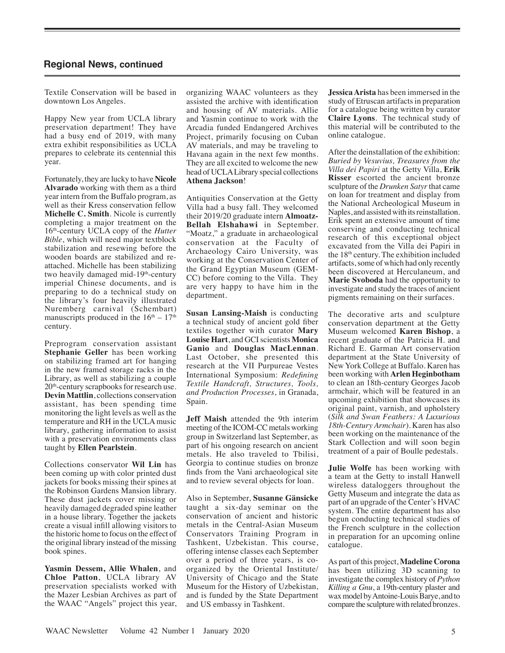Textile Conservation will be based in downtown Los Angeles.

Happy New year from UCLA library preservation department! They have had a busy end of 2019, with many extra exhibit responsibilities as UCLA prepares to celebrate its centennial this year.

Fortunately, they are lucky to have **Nicole Alvarado** working with them as a third year intern from the Buffalo program, as well as their Kress conservation fellow **Michelle C. Smith**. Nicole is currently completing a major treatment on the 16th-century UCLA copy of the *Hutter Bible*, which will need major textblock stabilization and resewing before the wooden boards are stabilized and reattached. Michelle has been stabilizing two heavily damaged mid-19<sup>th</sup>-century imperial Chinese documents, and is preparing to do a technical study on the library's four heavily illustrated Nuremberg carnival (Schembart) manuscripts produced in the  $16<sup>th</sup> - 17<sup>th</sup>$ century.

Preprogram conservation assistant **Stephanie Geller** has been working on stabilizing framed art for hanging in the new framed storage racks in the Library, as well as stabilizing a couple 20th-century scrapbooks for research use. **Devin Mattlin**, collections conservation assistant, has been spending time monitoring the light levels as well as the temperature and RH in the UCLA music library, gathering information to assist with a preservation environments class taught by **Ellen Pearlstein**.

Collections conservator **Wil Lin** has been coming up with color printed dust jackets for books missing their spines at the Robinson Gardens Mansion library. These dust jackets cover missing or heavily damaged degraded spine leather in a house library. Together the jackets create a visual infill allowing visitors to the historic home to focus on the effect of the original library instead of the missing book spines.

**Yasmin Dessem, Allie Whalen**, and **Chloe Patton**, UCLA library AV preservation specialists worked with the Mazer Lesbian Archives as part of the WAAC "Angels" project this year, organizing WAAC volunteers as they assisted the archive with identification and housing of AV materials. Allie and Yasmin continue to work with the Arcadia funded Endangered Archives Project, primarily focusing on Cuban AV materials, and may be traveling to Havana again in the next few months. They are all excited to welcome the new head of UCLA Library special collections **Athena Jackson**!

Antiquities Conservation at the Getty Villa had a busy fall. They welcomed their 2019/20 graduate intern **Almoatz-Bellah Elshahawi** in September. "Moatz," a graduate in archaeological conservation at the Faculty of Archaeology Cairo University, was working at the Conservation Center of the Grand Egyptian Museum (GEM-CC) before coming to the Villa. They are very happy to have him in the department.

**Susan Lansing-Maish** is conducting a technical study of ancient gold fiber textiles together with curator **Mary Louise Hart**, and GCI scientists **Monica Ganio** and **Douglas MacLennan**. Last October, she presented this research at the VII Purpureae Vestes International Symposium: *Redefining Textile Handcraft, Structures, Tools, and Production Processes*, in Granada, Spain.

**Jeff Maish** attended the 9th interim meeting of the ICOM-CC metals working group in Switzerland last September, as part of his ongoing research on ancient metals. He also traveled to Tbilisi, Georgia to continue studies on bronze finds from the Vani archaeological site and to review several objects for loan.

Also in September, **Susanne Gänsicke** taught a six-day seminar on the conservation of ancient and historic metals in the Central-Asian Museum Conservators Training Program in Tashkent, Uzbekistan. This course, offering intense classes each September over a period of three years, is coorganized by the Oriental Institute/ University of Chicago and the State Museum for the History of Uzbekistan, and is funded by the State Department and US embassy in Tashkent.

**Jessica Arista** has been immersed in the study of Etruscan artifacts in preparation for a catalogue being written by curator **Claire Lyons**. The technical study of this material will be contributed to the online catalogue.

After the deinstallation of the exhibition: *Buried by Vesuvius, Treasures from the Villa dei Papiri* at the Getty Villa, **Erik Risser** escorted the ancient bronze sculpture of the *Drunken Satyr* that came on loan for treatment and display from the National Archeological Museum in Naples, and assisted with its reinstallation. Erik spent an extensive amount of time conserving and conducting technical research of this exceptional object excavated from the Villa dei Papiri in the  $18<sup>th</sup>$  century. The exhibition included artifacts, some of which had only recently been discovered at Herculaneum, and **Marie Svoboda** had the opportunity to investigate and study the traces of ancient pigments remaining on their surfaces.

The decorative arts and sculpture conservation department at the Getty Museum welcomed **Karen Bishop**, a recent graduate of the Patricia H. and Richard E. Garman Art conservation department at the State University of New York College at Buffalo. Karen has been working with **Arlen Heginbotham** to clean an 18th-century Georges Jacob armchair, which will be featured in an upcoming exhibition that showcases its original paint, varnish, and upholstery (*Silk and Swan Feathers: A Luxurious 18th-Century Armchair*). Karen has also been working on the maintenance of the Stark Collection and will soon begin treatment of a pair of Boulle pedestals.

**Julie Wolfe** has been working with a team at the Getty to install Hanwell wireless dataloggers throughout the Getty Museum and integrate the data as part of an upgrade of the Center's HVAC system. The entire department has also begun conducting technical studies of the French sculpture in the collection in preparation for an upcoming online catalogue.

As part of this project, **Madeline Corona** has been utilizing 3D scanning to investigate the complex history of *Python Killing a Gnu*, a 19th-century plaster and wax model by Antoine-Louis Barye, and to compare the sculpture with related bronzes.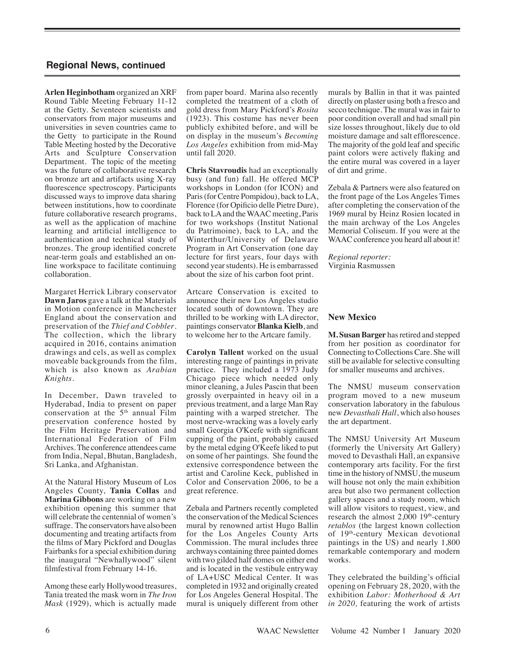**Arlen Heginbotham** organized an XRF Round Table Meeting February 11-12 at the Getty. Seventeen scientists and conservators from major museums and universities in seven countries came to the Getty to participate in the Round Table Meeting hosted by the Decorative Arts and Sculpture Conservation Department. The topic of the meeting was the future of collaborative research on bronze art and artifacts using X-ray fluorescence spectroscopy. Participants discussed ways to improve data sharing between institutions, how to coordinate future collaborative research programs, as well as the application of machine learning and artificial intelligence to authentication and technical study of bronzes. The group identified concrete near-term goals and established an online workspace to facilitate continuing collaboration.

Margaret Herrick Library conservator **Dawn Jaros** gave a talk at the Materials in Motion conference in Manchester England about the conservation and preservation of the *Thief and Cobbler*. The collection, which the library acquired in 2016, contains animation drawings and cels, as well as complex moveable backgrounds from the film, which is also known as *Arabian Knights*.

In December, Dawn traveled to Hyderabad, India to present on paper conservation at the  $5<sup>th</sup>$  annual Film preservation conference hosted by the Film Heritage Preservation and International Federation of Film Archives. The conference attendees came from India, Nepal, Bhutan, Bangladesh, Sri Lanka, and Afghanistan.

At the Natural History Museum of Los Angeles County, **Tania Collas** and **Marina Gibbons** are working on a new exhibition opening this summer that will celebrate the centennial of women's suffrage. The conservators have also been documenting and treating artifacts from the films of Mary Pickford and Douglas Fairbanks for a special exhibition during the inaugural "Newhallywood" silent filmfestival from February 14-16.

Among these early Hollywood treasures, Tania treated the mask worn in *The Iron Mask* (1929), which is actually made

from paper board. Marina also recently completed the treatment of a cloth of gold dress from Mary Pickford's *Rosita*  (1923). This costume has never been publicly exhibited before, and will be on display in the museum's *Becoming Los Angeles* exhibition from mid-May until fall 2020.

**Chris Stavroudis** had an exceptionally busy (and fun) fall. He offered MCP workshops in London (for ICON) and Paris (for Centre Pompidou), back to LA, Florence (for Opificio delle Pietre Dure), back to LA and the WAAC meeting, Paris for two workshops (Institut National du Patrimoine), back to LA, and the Winterthur/University of Delaware Program in Art Conservation (one day lecture for first years, four days with second year students). He is embarrassed about the size of his carbon foot print.

Artcare Conservation is excited to announce their new Los Angeles studio located south of downtown. They are thrilled to be working with LA director, paintings conservator **Blanka Kielb**, and to welcome her to the Artcare family.

**Carolyn Tallent** worked on the usual interesting range of paintings in private practice. They included a 1973 Judy Chicago piece which needed only minor cleaning, a Jules Pascin that been grossly overpainted in heavy oil in a previous treatment, and a large Man Ray painting with a warped stretcher. The most nerve-wracking was a lovely early small Georgia O'Keefe with significant cupping of the paint, probably caused by the metal edging O'Keefe liked to put on some of her paintings. She found the extensive correspondence between the artist and Caroline Keck, published in Color and Conservation 2006, to be a great reference.

Zebala and Partners recently completed the conservation of the Medical Sciences mural by renowned artist Hugo Ballin for the Los Angeles County Arts Commission. The mural includes three archways containing three painted domes with two gilded half domes on either end and is located in the vestibule entryway of LA+USC Medical Center. It was completed in 1932 and originally created for Los Angeles General Hospital. The mural is uniquely different from other murals by Ballin in that it was painted directly on plaster using both a fresco and secco technique. The mural was in fair to poor condition overall and had small pin size losses throughout, likely due to old moisture damage and salt efflorescence. The majority of the gold leaf and specific paint colors were actively flaking and the entire mural was covered in a layer of dirt and grime.

Zebala & Partners were also featured on the front page of the Los Angeles Times after completing the conservation of the 1969 mural by Heinz Rosien located in the main archway of the Los Angeles Memorial Coliseum. If you were at the WAAC conference you heard all about it!

*Regional reporter:*  Virginia Rasmussen

### **New Mexico**

**M. Susan Barger** has retired and stepped from her position as coordinator for Connecting to Collections Care. She will still be available for selective consulting for smaller museums and archives.

The NMSU museum conservation program moved to a new museum conservation laboratory in the fabulous new *Devasthali Hall*, which also houses the art department.

The NMSU University Art Museum (formerly the University Art Gallery) moved to Devasthali Hall, an expansive contemporary arts facility. For the first time in the history of NMSU, the museum will house not only the main exhibition area but also two permanent collection gallery spaces and a study room, which will allow visitors to request, view, and research the almost  $2,000$  19<sup>th</sup>-century *retablos* (the largest known collection of 19<sup>th</sup>-century Mexican devotional paintings in the US) and nearly 1,800 remarkable contemporary and modern works.

They celebrated the building's official opening on February 28, 2020, with the exhibition *Labor: Motherhood & Art in 2020,* featuring the work of artists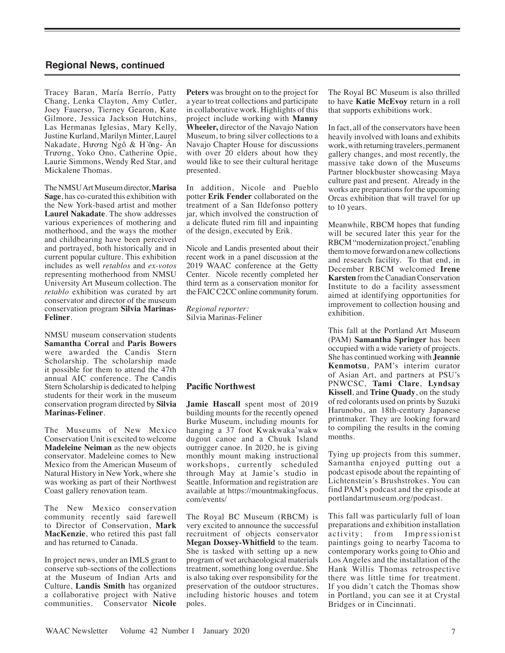Tracey Baran, María Berrío, Patty Chang, Lenka Clayton, Amy Cutler, Joey Fauerso, Tierney Gearon, Kate Gilmore, Jessica Jackson Hutchins, Las Hermanas Iglesias, Mary Kelly, Justine Kurland, Marilyn Minter, Laurel Nakadate, Hương Ngô & Hồng- Ân Trương, Yoko Ono, Catherine Opie, Laurie Simmons, Wendy Red Star, and Mickalene Thomas.

The NMSU Art Museum director, **Marisa Sage**, has co-curated this exhibition with the New York-based artist and mother **Laurel Nakadate**. The show addresses various experiences of mothering and motherhood, and the ways the mother and childbearing have been perceived and portrayed, both historically and in current popular culture. This exhibition includes as well *retablos* and *ex-votos* representing motherhood from NMSU University Art Museum collection. The *retablo* exhibition was curated by art conservator and director of the museum conservation program **Silvia Marinas-Feliner**.

NMSU museum conservation students **Samantha Corral** and **Paris Bowers** were awarded the Candis Stern Scholarship. The scholarship made it possible for them to attend the 47th annual AIC conference. The Candis Stern Scholarship is dedicated to helping students for their work in the museum conservation program directed by **Silvia Marinas-Feliner**.

The Museums of New Mexico Conservation Unit is excited to welcome **Madeleine Neiman** as the new objects conservator. Madeleine comes to New Mexico from the American Museum of Natural History in New York, where she was working as part of their Northwest Coast gallery renovation team.

The New Mexico conservation community recently said farewell to Director of Conservation, **Mark MacKenzie**, who retired this past fall and has returned to Canada.

In project news, under an IMLS grant to conserve sub-sections of the collections at the Museum of Indian Arts and Culture, **Landis Smith** has organized a collaborative project with Native communities. Conservator **Nicole** 

**Peters** was brought on to the project for a year to treat collections and participate in collaborative work. Highlights of this project include working with **Manny Wheeler,** director of the Navajo Nation Museum, to bring silver collections to a Navajo Chapter House for discussions with over 20 elders about how they would like to see their cultural heritage presented.

In addition, Nicole and Pueblo potter **Erik Fender** collaborated on the treatment of a San Ildefonso pottery jar, which involved the construction of a delicate fluted rim fill and inpainting of the design, executed by Erik.

Nicole and Landis presented about their recent work in a panel discussion at the 2019 WAAC conference at the Getty Center. Nicole recently completed her third term as a conservation monitor for the FAIC C2CC online community forum.

*Regional reporter:*  Silvia Marinas-Feliner

#### **Pacific Northwest**

**Jamie Hascall** spent most of 2019 building mounts for the recently opened Burke Museum, including mounts for hanging a 37 foot Kwakwaka'wakw dugout canoe and a Chuuk Island outrigger canoe. In 2020, he is giving monthly mount making instructional workshops, currently scheduled through May at Jamie's studio in Seattle. Information and registration are available at https://mountmakingfocus. com/events/

The Royal BC Museum (RBCM) is very excited to announce the successful recruitment of objects conservator **Megan Doxsey-Whitfield** to the team. She is tasked with setting up a new program of wet archaeological materials treatment, something long overdue. She is also taking over responsibility for the preservation of the outdoor structures, including historic houses and totem poles.

The Royal BC Museum is also thrilled to have **Katie McEvoy** return in a roll that supports exhibitions work.

In fact, all of the conservators have been heavily involved with loans and exhibits work, with returning travelers, permanent gallery changes, and most recently, the massive take down of the Museums Partner blockbuster showcasing Maya culture past and present. Already in the works are preparations for the upcoming Orcas exhibition that will travel for up to 10 years.

Meanwhile, RBCM hopes that funding will be secured later this year for the RBCM "modernization project,"enabling them to move forward on a new collections and research facility. To that end, in December RBCM welcomed **Irene Karsten** from the Canadian Conservation Institute to do a facility assessment aimed at identifying opportunities for improvement to collection housing and exhibition.

This fall at the Portland Art Museum (PAM) **Samantha Springer** has been occupied with a wide variety of projects. She has continued working with **Jeannie Kenmotsu**, PAM's interim curator of Asian Art, and partners at PSU's PNWCSC, **Tami Clare**, **Lyndsay Kissell**, and **Trine Quady**, on the study of red colorants used on prints by Suzuki Harunobu, an 18th-century Japanese printmaker. They are looking forward to compiling the results in the coming months.

Tying up projects from this summer, Samantha enjoyed putting out a podcast episode about the repainting of Lichtenstein's Brushstrokes. You can find PAM's podcast and the episode at portlandartmuseum.org/podcast.

This fall was particularly full of loan preparations and exhibition installation activity; from Impressionist paintings going to nearby Tacoma to contemporary works going to Ohio and Los Angeles and the installation of the Hank Willis Thomas retrospective there was little time for treatment. If you didn't catch the Thomas show in Portland, you can see it at Crystal Bridges or in Cincinnati.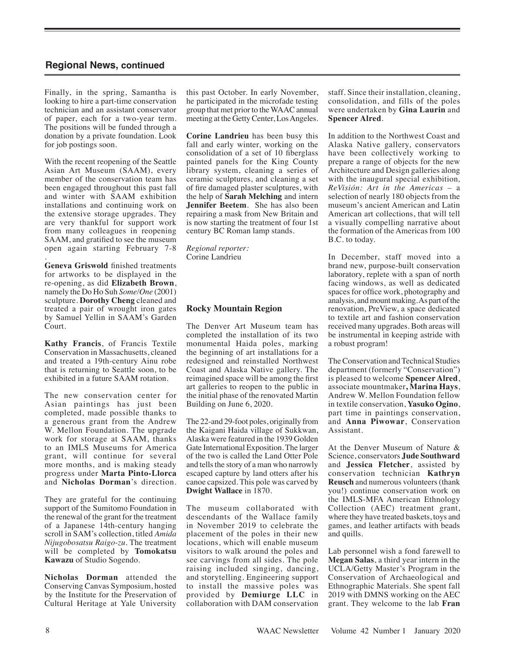Finally, in the spring, Samantha is looking to hire a part-time conservation technician and an assistant conservator of paper, each for a two-year term. The positions will be funded through a donation by a private foundation. Look for job postings soon.

With the recent reopening of the Seattle Asian Art Museum (SAAM), every member of the conservation team has been engaged throughout this past fall and winter with SAAM exhibition installations and continuing work on the extensive storage upgrades. They are very thankful for support work from many colleagues in reopening SAAM, and gratified to see the museum open again starting February 7-8

. **Geneva Griswold** finished treatments for artworks to be displayed in the re-opening, as did **Elizabeth Brown**, namely the Do Ho Suh *Some/One* (2001) sculpture. **Dorothy Cheng** cleaned and treated a pair of wrought iron gates by Samuel Yellin in SAAM's Garden Court.

**Kathy Francis**, of Francis Textile Conservation in Massachusetts, cleaned and treated a 19th-century Ainu robe that is returning to Seattle soon, to be exhibited in a future SAAM rotation.

The new conservation center for Asian paintings has just been completed, made possible thanks to a generous grant from the Andrew W. Mellon Foundation. The upgrade work for storage at SAAM, thanks to an IMLS Museums for America grant, will continue for several more months, and is making steady progress under **Marta Pinto-Llorca** and **Nicholas Dorman**'s direction.

They are grateful for the continuing support of the Sumitomo Foundation in the renewal of the grant for the treatment of a Japanese 14th-century hanging scroll in SAM's collection, titled *Amida Nijugobosatsu Raigo-zu.* The treatment will be completed by **Tomokatsu Kawazu** of Studio Sogendo.

**Nicholas Dorman** attended the Conserving Canvas Symposium, hosted by the Institute for the Preservation of Cultural Heritage at Yale University

this past October. In early November, he participated in the microfade testing group that met prior to the WAAC annual meeting at the Getty Center, Los Angeles.

**Corine Landrieu** has been busy this fall and early winter, working on the consolidation of a set of 10 fiberglass painted panels for the King County library system, cleaning a series of ceramic sculptures, and cleaning a set of fire damaged plaster sculptures, with the help of **Sarah Melching** and intern **Jennifer Beetem**. She has also been repairing a mask from New Britain and is now starting the treatment of four 1st century BC Roman lamp stands.

*Regional reporter:*  Corine Landrieu

### **Rocky Mountain Region**

The Denver Art Museum team has completed the installation of its two monumental Haida poles, marking the beginning of art installations for a redesigned and reinstalled Northwest Coast and Alaska Native gallery. The reimagined space will be among the first art galleries to reopen to the public in the initial phase of the renovated Martin Building on June 6, 2020.

The 22-and 29-foot poles, originally from the Kaigani Haida village of Sukkwan, Alaska were featured in the 1939 Golden Gate International Exposition. The larger of the two is called the Land Otter Pole and tells the story of a man who narrowly escaped capture by land otters after his canoe capsized. This pole was carved by **Dwight Wallace** in 1870.

The museum collaborated with descendants of the Wallace family in November 2019 to celebrate the placement of the poles in their new locations, which will enable museum visitors to walk around the poles and see carvings from all sides. The pole raising included singing, dancing, and storytelling. Engineering support to install the massive poles was provided by **Demiurge LLC** in collaboration with DAM conservation staff. Since their installation, cleaning, consolidation, and fills of the poles were undertaken by **Gina Laurin** and **Spencer Alred**.

In addition to the Northwest Coast and Alaska Native gallery, conservators have been collectively working to prepare a range of objects for the new Architecture and Design galleries along with the inaugural special exhibition*, ReVisión: Art in the Americas* – a selection of nearly 180 objects from the museum's ancient American and Latin American art collections, that will tell a visually compelling narrative about the formation of the Americas from 100 B.C. to today.

In December, staff moved into a brand new, purpose-built conservation laboratory, replete with a span of north facing windows, as well as dedicated spaces for office work, photography and analysis, and mount making. As part of the renovation, PreView, a space dedicated to textile art and fashion conservation received many upgrades. Both areas will be instrumental in keeping astride with a robust program!

The Conservation and Technical Studies department (formerly "Conservation") is pleased to welcome **Spencer Alred**, associate mountmaker**, Marina Hays**, Andrew W. Mellon Foundation fellow in textile conservation, **Yasuko Ogino**, part time in paintings conservation, and **Anna Piwowar**, Conservation Assistant.

At the Denver Museum of Nature & Science, conservators **Jude Southward** and **Jessica Fletcher**, assisted by conservation technician **Kathryn Reusch** and numerous volunteers (thank you!) continue conservation work on the IMLS-MFA American Ethnology Collection (AEC) treatment grant, where they have treated baskets, toys and games, and leather artifacts with beads and quills.

Lab personnel wish a fond farewell to **Megan Salas**, a third year intern in the UCLA/Getty Master's Program in the Conservation of Archaeological and Ethnographic Materials. She spent fall 2019 with DMNS working on the AEC grant. They welcome to the lab **Fran**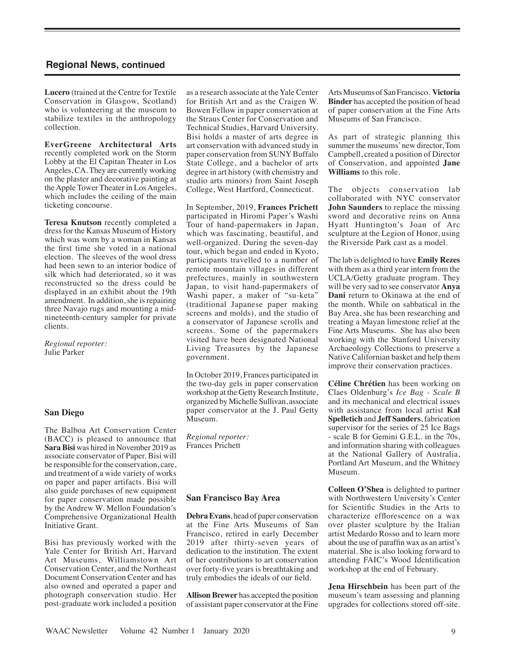**Lucero** (trained at the Centre for Textile Conservation in Glasgow, Scotland) who is volunteering at the museum to stabilize textiles in the anthropology collection.

**EverGreene Architectural Arts** recently completed work on the Storm Lobby at the El Capitan Theater in Los Angeles, CA. They are currently working on the plaster and decorative painting at the Apple Tower Theater in Los Angeles, which includes the ceiling of the main ticketing concourse.

**Teresa Knutson** recently completed a dress for the Kansas Museum of History which was worn by a woman in Kansas the first time she voted in a national election. The sleeves of the wool dress had been sewn to an interior bodice of silk which had deteriorated, so it was reconstructed so the dress could be displayed in an exhibit about the 19th amendment. In addition, she is repairing three Navajo rugs and mounting a midnineteenth-century sampler for private clients.

*Regional reporter:*  Julie Parker

#### **San Diego**

The Balboa Art Conservation Center (BACC) is pleased to announce that **Sara Bisi** was hired in November 2019 as associate conservator of Paper. Bisi will be responsible for the conservation, care, and treatment of a wide variety of works on paper and paper artifacts. Bisi will also guide purchases of new equipment for paper conservation made possible by the Andrew W. Mellon Foundation's Comprehensive Organizational Health Initiative Grant.

Bisi has previously worked with the Yale Center for British Art, Harvard Art Museums, Williamstown Art Conservation Center, and the Northeast Document Conservation Center and has also owned and operated a paper and photograph conservation studio. Her post-graduate work included a position

as a research associate at the Yale Center for British Art and as the Craigen W. Bowen Fellow in paper conservation at the Straus Center for Conservation and Technical Studies, Harvard University. Bisi holds a master of arts degree in art conservation with advanced study in paper conservation from SUNY Buffalo State College, and a bachelor of arts degree in art history (with chemistry and studio arts minors) from Saint Joseph College, West Hartford, Connecticut.

In September, 2019, **Frances Prichett** participated in Hiromi Paper's Washi Tour of hand-papermakers in Japan, which was fascinating, beautiful, and well-organized. During the seven-day tour, which began and ended in Kyoto, participants travelled to a number of remote mountain villages in different prefectures, mainly in southwestern Japan, to visit hand-papermakers of Washi paper, a maker of "su-keta" (traditional Japanese paper making screens and molds), and the studio of a conservator of Japanese scrolls and screens. Some of the papermakers visited have been designated National Living Treasures by the Japanese government.

In October 2019, Frances participated in the two-day gels in paper conservation workshop at the Getty Research Institute, organized by Michelle Sullivan, associate paper conservator at the J. Paul Getty Museum.

*Regional reporter:*  Frances Prichett

#### **San Francisco Bay Area**

**Debra Evans**, head of paper conservation at the Fine Arts Museums of San Francisco, retired in early December 2019 after thirty-seven years of dedication to the institution. The extent of her contributions to art conservation over forty-five years is breathtaking and truly embodies the ideals of our field.

**Allison Brewer** has accepted the position of assistant paper conservator at the Fine Arts Museums of San Francisco. **Victoria Binder** has accepted the position of head of paper conservation at the Fine Arts Museums of San Francisco.

As part of strategic planning this summer the museums' new director, Tom Campbell, created a position of Director of Conservation, and appointed **Jane Williams** to this role.

The objects conservation lab collaborated with NYC conservator **John Saunders** to replace the missing sword and decorative reins on Anna Hyatt Huntington's Joan of Arc sculpture at the Legion of Honor, using the Riverside Park cast as a model.

The lab is delighted to have **Emily Rezes** with them as a third year intern from the UCLA/Getty graduate program. They will be very sad to see conservator **Anya Dani** return to Okinawa at the end of the month. While on sabbatical in the Bay Area, she has been researching and treating a Mayan limestone relief at the Fine Arts Museums. She has also been working with the Stanford University Archaeology Collections to preserve a Native Californian basket and help them improve their conservation practices.

**Céline Chrétien** has been working on Claes Oldenburg's *Ice Bag - Scale B*  and its mechanical and electrical issues with assistance from local artist **Kal Spelletich** and **Jeff Sanders**, fabrication supervisor for the series of 25 Ice Bags - scale B for Gemini G.E.L. in the 70s, and information sharing with colleagues at the National Gallery of Australia, Portland Art Museum, and the Whitney Museum.

**Colleen O'Shea** is delighted to partner with Northwestern University's Center for Scientific Studies in the Arts to characterize efflorescence on a wax over plaster sculpture by the Italian artist Medardo Rosso and to learn more about the use of paraffin wax as an artist's material. She is also looking forward to attending FAIC's Wood Identification workshop at the end of February.

**Jena Hirschbein** has been part of the museum's team assessing and planning upgrades for collections stored off-site.